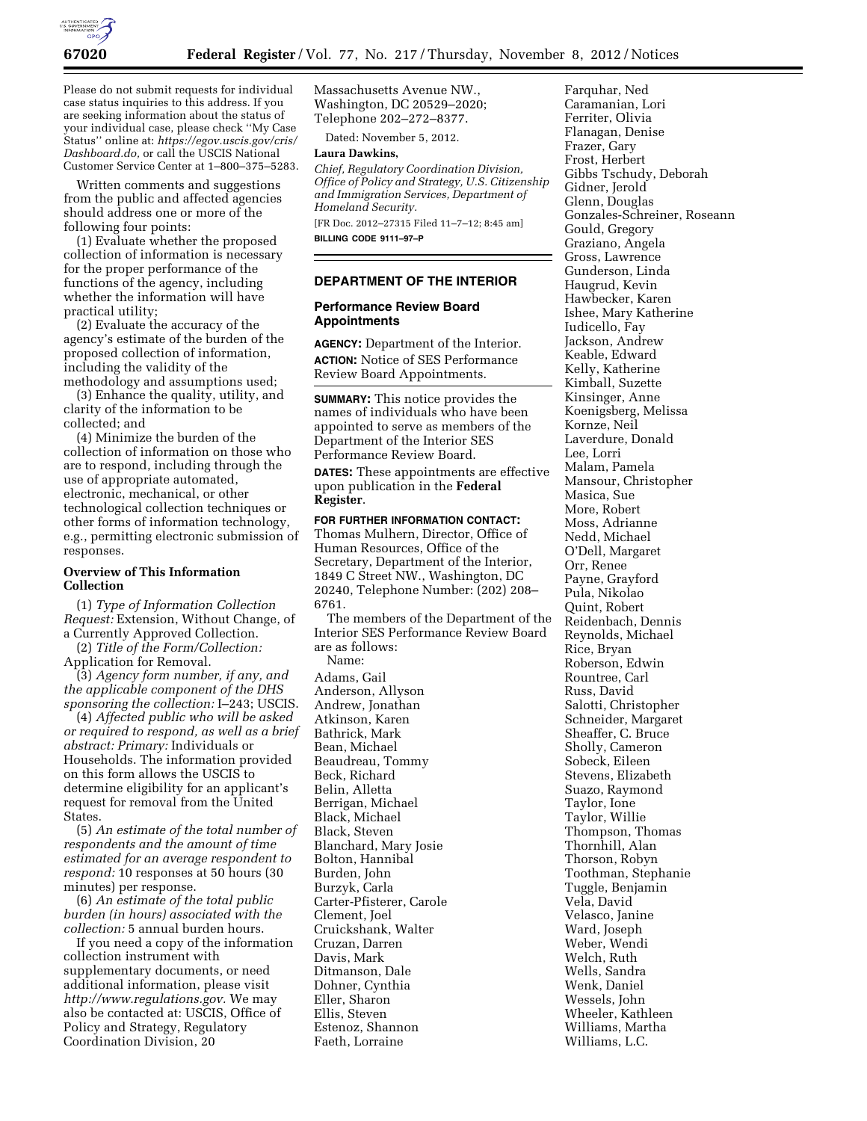

Please do not submit requests for individual case status inquiries to this address. If you are seeking information about the status of your individual case, please check ''My Case Status'' online at: *[https://egov.uscis.gov/cris/](https://egov.uscis.gov/cris/Dashboard.do)  [Dashboard.do,](https://egov.uscis.gov/cris/Dashboard.do)* or call the USCIS National Customer Service Center at 1–800–375–5283.

Written comments and suggestions from the public and affected agencies should address one or more of the following four points:

(1) Evaluate whether the proposed collection of information is necessary for the proper performance of the functions of the agency, including whether the information will have practical utility;

(2) Evaluate the accuracy of the agency's estimate of the burden of the proposed collection of information, including the validity of the methodology and assumptions used;

(3) Enhance the quality, utility, and clarity of the information to be collected; and

(4) Minimize the burden of the collection of information on those who are to respond, including through the use of appropriate automated, electronic, mechanical, or other technological collection techniques or other forms of information technology, e.g., permitting electronic submission of responses.

## **Overview of This Information Collection**

(1) *Type of Information Collection Request:* Extension, Without Change, of a Currently Approved Collection.

(2) *Title of the Form/Collection:*  Application for Removal.

(3) *Agency form number, if any, and the applicable component of the DHS sponsoring the collection:* I–243; USCIS.

(4) *Affected public who will be asked or required to respond, as well as a brief abstract: Primary:* Individuals or Households. The information provided on this form allows the USCIS to determine eligibility for an applicant's request for removal from the United States.

(5) *An estimate of the total number of respondents and the amount of time estimated for an average respondent to respond:* 10 responses at 50 hours (30 minutes) per response.

(6) *An estimate of the total public burden (in hours) associated with the collection:* 5 annual burden hours.

If you need a copy of the information collection instrument with supplementary documents, or need additional information, please visit *[http://www.regulations.gov.](http://www.regulations.gov)* We may also be contacted at: USCIS, Office of Policy and Strategy, Regulatory Coordination Division, 20

Massachusetts Avenue NW., Washington, DC 20529–2020; Telephone 202–272–8377.

Dated: November 5, 2012.

# **Laura Dawkins,**

*Chief, Regulatory Coordination Division, Office of Policy and Strategy, U.S. Citizenship and Immigration Services, Department of Homeland Security.*  [FR Doc. 2012–27315 Filed 11–7–12; 8:45 am]

**BILLING CODE 9111–97–P** 

## **DEPARTMENT OF THE INTERIOR**

### **Performance Review Board Appointments**

**AGENCY:** Department of the Interior. **ACTION:** Notice of SES Performance Review Board Appointments.

**SUMMARY:** This notice provides the names of individuals who have been appointed to serve as members of the Department of the Interior SES Performance Review Board.

**DATES:** These appointments are effective upon publication in the **Federal Register**.

## **FOR FURTHER INFORMATION CONTACT:**

Thomas Mulhern, Director, Office of Human Resources, Office of the Secretary, Department of the Interior, 1849 C Street NW., Washington, DC 20240, Telephone Number: (202) 208– 6761.

The members of the Department of the Interior SES Performance Review Board are as follows: Name:

Adams, Gail Anderson, Allyson Andrew, Jonathan Atkinson, Karen Bathrick, Mark Bean, Michael Beaudreau, Tommy Beck, Richard Belin, Alletta Berrigan, Michael Black, Michael Black, Steven Blanchard, Mary Josie Bolton, Hannibal Burden, John Burzyk, Carla Carter-Pfisterer, Carole Clement, Joel Cruickshank, Walter Cruzan, Darren Davis, Mark Ditmanson, Dale Dohner, Cynthia Eller, Sharon Ellis, Steven Estenoz, Shannon Faeth, Lorraine

Farquhar, Ned Caramanian, Lori Ferriter, Olivia Flanagan, Denise Frazer, Gary Frost, Herbert Gibbs Tschudy, Deborah Gidner, Jerold Glenn, Douglas Gonzales-Schreiner, Roseann Gould, Gregory Graziano, Angela Gross, Lawrence Gunderson, Linda Haugrud, Kevin Hawbecker, Karen Ishee, Mary Katherine Iudicello, Fay Jackson, Andrew Keable, Edward Kelly, Katherine Kimball, Suzette Kinsinger, Anne Koenigsberg, Melissa Kornze, Neil Laverdure, Donald Lee, Lorri Malam, Pamela Mansour, Christopher Masica, Sue More, Robert Moss, Adrianne Nedd, Michael O'Dell, Margaret Orr, Renee Payne, Grayford Pula, Nikolao Quint, Robert Reidenbach, Dennis Reynolds, Michael Rice, Bryan Roberson, Edwin Rountree, Carl Russ, David Salotti, Christopher Schneider, Margaret Sheaffer, C. Bruce Sholly, Cameron Sobeck, Eileen Stevens, Elizabeth Suazo, Raymond Taylor, Ione Taylor, Willie Thompson, Thomas Thornhill, Alan Thorson, Robyn Toothman, Stephanie Tuggle, Benjamin Vela, David Velasco, Janine Ward, Joseph Weber, Wendi Welch, Ruth Wells, Sandra Wenk, Daniel Wessels, John Wheeler, Kathleen Williams, Martha Williams, L.C.